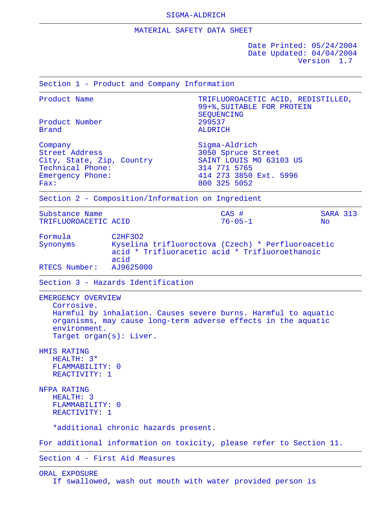## MATERIAL SAFETY DATA SHEET

 Date Printed: 05/24/2004 Date Updated: 04/04/2004 Version 1.7

 Section 1 - Product and Company Information Product Name TRIFLUOROACETIC ACID, REDISTILLED, 99+%,SUITABLE FOR PROTEIN SEQUENCING<br>299537 Product Number<br>Brand **ALDRICH** Company Sigma-Aldrich Street Address 3050 Spruce Street City, State, Zip, Country SAINT LOUIS MO 63103 US<br>Technical Phone: 314 771 5765 Technical Phone: Emergency Phone: 414 273 3850 Ext. 5996<br>Fax: 800 325 5052 Fax: 800 325 5052 Section 2 - Composition/Information on Ingredient Substance Name CAS # SARA 313 TRIFLUOROACETIC ACID 76-05-1 No Formula C2HF3O2 Synonyms Kyselina trifluoroctova (Czech) \* Perfluoroacetic acid \* Trifluoracetic acid \* Trifluoroethanoic acid<br>AJ9625000 RTECS Number: Section 3 - Hazards Identification EMERGENCY OVERVIEW Corrosive. Harmful by inhalation. Causes severe burns. Harmful to aquatic organisms, may cause long-term adverse effects in the aquatic environment. Target organ(s): Liver. HMIS RATING HEALTH: 3\* FLAMMABILITY: 0 REACTIVITY: 1 NFPA RATING HEALTH: 3 FLAMMABILITY: 0 REACTIVITY: 1 \*additional chronic hazards present. For additional information on toxicity, please refer to Section 11.

Section 4 - First Aid Measures

## ORAL EXPOSURE If swallowed, wash out mouth with water provided person is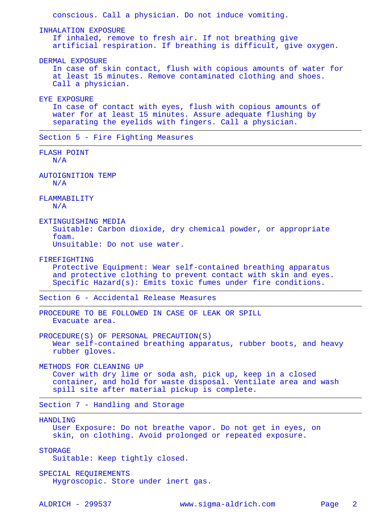conscious. Call a physician. Do not induce vomiting. INHALATION EXPOSURE If inhaled, remove to fresh air. If not breathing give artificial respiration. If breathing is difficult, give oxygen. DERMAL EXPOSURE In case of skin contact, flush with copious amounts of water for at least 15 minutes. Remove contaminated clothing and shoes. Call a physician. EYE EXPOSURE In case of contact with eyes, flush with copious amounts of water for at least 15 minutes. Assure adequate flushing by separating the eyelids with fingers. Call a physician. Section 5 - Fire Fighting Measures FLASH POINT  $N/A$  AUTOIGNITION TEMP N/A FLAMMABILITY N/A EXTINGUISHING MEDIA Suitable: Carbon dioxide, dry chemical powder, or appropriate foam. Unsuitable: Do not use water. FIREFIGHTING Protective Equipment: Wear self-contained breathing apparatus and protective clothing to prevent contact with skin and eyes. Specific Hazard(s): Emits toxic fumes under fire conditions. Section 6 - Accidental Release Measures PROCEDURE TO BE FOLLOWED IN CASE OF LEAK OR SPILL Evacuate area. PROCEDURE(S) OF PERSONAL PRECAUTION(S) Wear self-contained breathing apparatus, rubber boots, and heavy rubber gloves. METHODS FOR CLEANING UP Cover with dry lime or soda ash, pick up, keep in a closed container, and hold for waste disposal. Ventilate area and wash spill site after material pickup is complete. Section 7 - Handling and Storage HANDLING User Exposure: Do not breathe vapor. Do not get in eyes, on skin, on clothing. Avoid prolonged or repeated exposure. STORAGE Suitable: Keep tightly closed. SPECIAL REQUIREMENTS Hygroscopic. Store under inert gas. ALDRICH - 299537 www.sigma-aldrich.com Page 2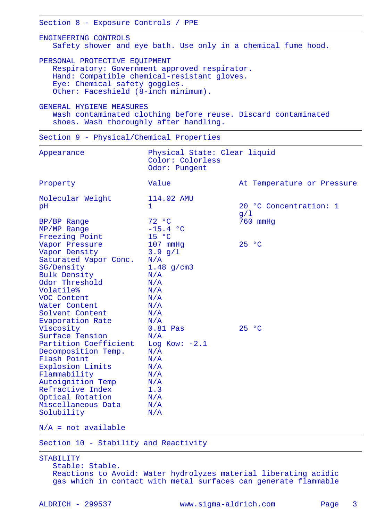Section 8 - Exposure Controls / PPE

 ENGINEERING CONTROLS Safety shower and eye bath. Use only in a chemical fume hood.

 PERSONAL PROTECTIVE EQUIPMENT Respiratory: Government approved respirator. Hand: Compatible chemical-resistant gloves. Eye: Chemical safety goggles. Other: Faceshield (8-inch minimum).

 GENERAL HYGIENE MEASURES Wash contaminated clothing before reuse. Discard contaminated shoes. Wash thoroughly after handling.

Section 9 - Physical/Chemical Properties

| Appearance                                                                                                                                                                                                                                           | Physical State: Clear liquid<br>Color: Colorless<br>Odor: Pungent                                          |                               |
|------------------------------------------------------------------------------------------------------------------------------------------------------------------------------------------------------------------------------------------------------|------------------------------------------------------------------------------------------------------------|-------------------------------|
| Property                                                                                                                                                                                                                                             | Value                                                                                                      | At Temperature or Pressure    |
| Molecular Weight<br>pH                                                                                                                                                                                                                               | 114.02 AMU<br>$\mathbf{1}$                                                                                 | 20 °C Concentration: 1<br>g/1 |
| BP/BP Range<br>MP/MP Range<br>Freezing Point                                                                                                                                                                                                         | 72 °C<br>$-15.4 °C$<br>15 °C                                                                               | 760 mmHg                      |
| Vapor Pressure<br>Vapor Density<br>Saturated Vapor Conc.<br>SG/Density<br>Bulk Density<br>Odor Threshold<br>Volatile%<br>VOC Content<br>Water Content<br>Solvent Content                                                                             | 107 mmHg<br>$3.9$ g/1<br>N/A<br>$1.48$ g/cm3<br>N/A<br>N/A<br>N/A<br>N/A<br>N/A<br>N/A                     | 25 °C                         |
| Evaporation Rate<br>Viscosity<br>Surface Tension<br>Partition Coefficient<br>Decomposition Temp.<br>Flash Point<br>Explosion Limits<br>Flammability<br>Autoignition Temp<br>Refractive Index<br>Optical Rotation<br>Miscellaneous Data<br>Solubility | N/A<br>$0.81$ Pas<br>N/A<br>Log Kow: $-2.1$<br>N/A<br>N/A<br>N/A<br>N/A<br>N/A<br>1.3<br>N/A<br>N/A<br>N/A | 25 °C                         |

 $N/A$  = not available

Section 10 - Stability and Reactivity

 STABILITY Stable: Stable. Reactions to Avoid: Water hydrolyzes material liberating acidic gas which in contact with metal surfaces can generate flammable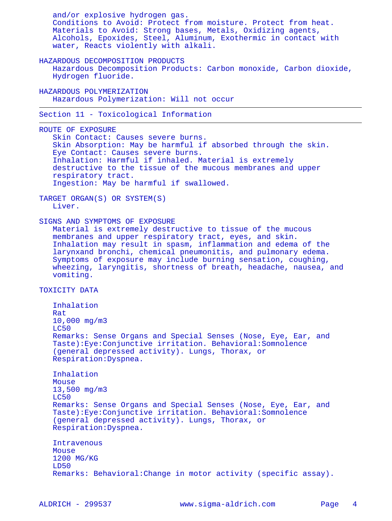and/or explosive hydrogen gas. Conditions to Avoid: Protect from moisture. Protect from heat. Materials to Avoid: Strong bases, Metals, Oxidizing agents, Alcohols, Epoxides, Steel, Aluminum, Exothermic in contact with water, Reacts violently with alkali. HAZARDOUS DECOMPOSITION PRODUCTS Hazardous Decomposition Products: Carbon monoxide, Carbon dioxide, Hydrogen fluoride. HAZARDOUS POLYMERIZATION Hazardous Polymerization: Will not occur Section 11 - Toxicological Information ROUTE OF EXPOSURE Skin Contact: Causes severe burns. Skin Absorption: May be harmful if absorbed through the skin. Eye Contact: Causes severe burns. Inhalation: Harmful if inhaled. Material is extremely destructive to the tissue of the mucous membranes and upper respiratory tract. Ingestion: May be harmful if swallowed. TARGET ORGAN(S) OR SYSTEM(S) Liver. SIGNS AND SYMPTOMS OF EXPOSURE Material is extremely destructive to tissue of the mucous membranes and upper respiratory tract, eyes, and skin. Inhalation may result in spasm, inflammation and edema of the larynxand bronchi, chemical pneumonitis, and pulmonary edema. Symptoms of exposure may include burning sensation, coughing, wheezing, laryngitis, shortness of breath, headache, nausea, and vomiting. TOXICITY DATA Inhalation Rat 10,000 mg/m3 LC50 Remarks: Sense Organs and Special Senses (Nose, Eye, Ear, and Taste):Eye:Conjunctive irritation. Behavioral:Somnolence (general depressed activity). Lungs, Thorax, or Respiration:Dyspnea. Inhalation Mouse 13,500 mg/m3 LC50 Remarks: Sense Organs and Special Senses (Nose, Eye, Ear, and Taste):Eye:Conjunctive irritation. Behavioral:Somnolence (general depressed activity). Lungs, Thorax, or Respiration:Dyspnea. Intravenous Mouse 1200 MG/KG LD50 Remarks: Behavioral:Change in motor activity (specific assay).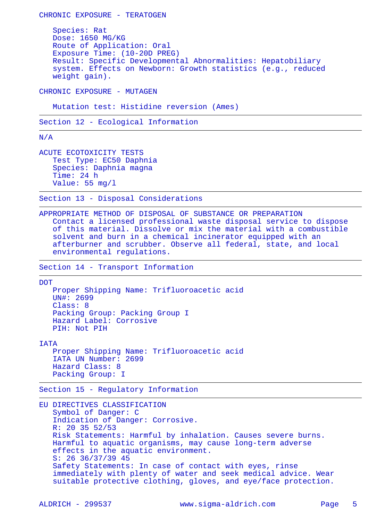Species: Rat Dose: 1650 MG/KG Route of Application: Oral Exposure Time: (10-20D PREG) Result: Specific Developmental Abnormalities: Hepatobiliary system. Effects on Newborn: Growth statistics (e.g., reduced weight gain).

CHRONIC EXPOSURE - MUTAGEN

CHRONIC EXPOSURE - TERATOGEN

Mutation test: Histidine reversion (Ames)

Section 12 - Ecological Information

N/A

 ACUTE ECOTOXICITY TESTS Test Type: EC50 Daphnia Species: Daphnia magna Time: 24 h Value: 55 mg/l

Section 13 - Disposal Considerations

 APPROPRIATE METHOD OF DISPOSAL OF SUBSTANCE OR PREPARATION Contact a licensed professional waste disposal service to dispose of this material. Dissolve or mix the material with a combustible solvent and burn in a chemical incinerator equipped with an afterburner and scrubber. Observe all federal, state, and local environmental regulations.

Section 14 - Transport Information

**DOT** 

 Proper Shipping Name: Trifluoroacetic acid UN#: 2699 Class: 8 Packing Group: Packing Group I Hazard Label: Corrosive PIH: Not PIH

IATA

 Proper Shipping Name: Trifluoroacetic acid IATA UN Number: 2699 Hazard Class: 8 Packing Group: I

Section 15 - Regulatory Information

 EU DIRECTIVES CLASSIFICATION Symbol of Danger: C Indication of Danger: Corrosive. R: 20 35 52/53 Risk Statements: Harmful by inhalation. Causes severe burns. Harmful to aquatic organisms, may cause long-term adverse effects in the aquatic environment. S: 26 36/37/39 45 Safety Statements: In case of contact with eyes, rinse immediately with plenty of water and seek medical advice. Wear suitable protective clothing, gloves, and eye/face protection.